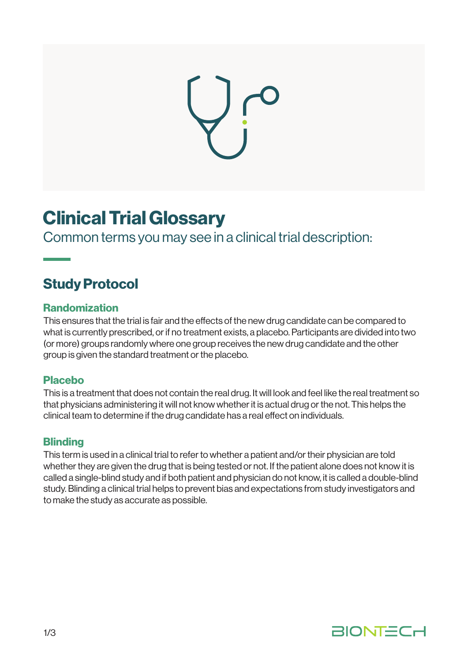

# Clinical Trial Glossary

Common terms you may see in a clinical trial description:

# Study Protocol

#### Randomization

This ensures that the trial is fair and the effects of the new drug candidate can be compared to what is currently prescribed, or if no treatment exists, a placebo. Participants are divided into two (or more) groups randomly where one group receives the new drug candidate and the other group is given the standard treatment or the placebo.

#### Placebo

This is a treatment that does not contain the real drug. It will look and feel like the real treatment so that physicians administering it will not know whether it is actual drug or the not. This helps the clinical team to determine if the drug candidate has a real effect on individuals.

#### **Blinding**

This term is used in a clinical trial to refer to whether a patient and/or their physician are told whether they are given the drug that is being tested or not. If the patient alone does not know it is called a single-blind study and if both patient and physician do not know, it is called a double-blind study. Blinding a clinical trial helps to prevent bias and expectations from study investigators and to make the study as accurate as possible.

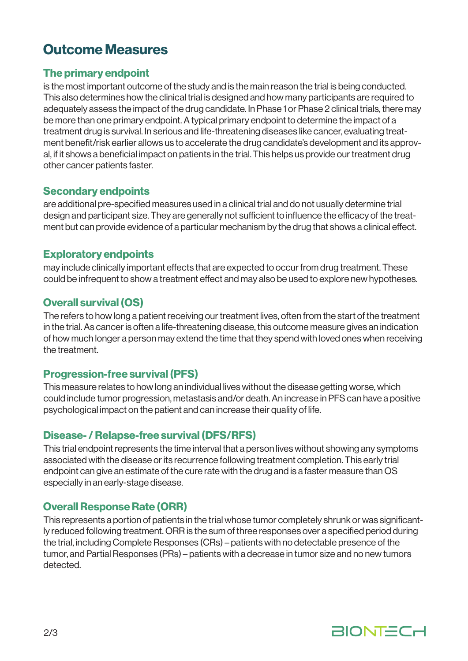## Outcome Measures

#### The primary endpoint

is the most important outcome of the study and is the main reason the trial is being conducted. This also determines how the clinical trial is designed and how many participants are required to adequately assess the impact of the drug candidate. In Phase 1 or Phase 2 clinical trials, there may be more than one primary endpoint. A typical primary endpoint to determine the impact of a treatment drug is survival. In serious and life-threatening diseases like cancer, evaluating treatment benefit/risk earlier allows us to accelerate the drug candidate's development and its approval, if it shows a beneficial impact on patients in the trial. This helps us provide our treatment drug other cancer patients faster.

#### Secondary endpoints

are additional pre-specified measures used in a clinical trial and do not usually determine trial design and participant size. They are generally not sufficient to influence the efficacy of the treatment but can provide evidence of a particular mechanism by the drug that shows a clinical effect.

#### Exploratory endpoints

may include clinically important effects that are expected to occur from drug treatment. These could be infrequent to show a treatment effect and may also be used to explore new hypotheses.

#### Overall survival (OS)

The refers to how long a patient receiving our treatment lives, often from the start of the treatment in the trial. As cancer is often a life-threatening disease, this outcome measure gives an indication of how much longer a person may extend the time that they spend with loved ones when receiving the treatment.

#### Progression-free survival (PFS)

This measure relates to how long an individual lives without the disease getting worse, which could include tumor progression, metastasis and/or death. An increase in PFS can have a positive psychological impact on the patient and can increase their quality of life.

#### Disease- / Relapse-free survival (DFS/RFS)

This trial endpoint represents the time interval that a person lives without showing any symptoms associated with the disease or its recurrence following treatment completion. This early trial endpoint can give an estimate of the cure rate with the drug and is a faster measure than OS especially in an early-stage disease.

### Overall Response Rate (ORR)

This represents a portion of patients in the trial whose tumor completely shrunk or was significantly reduced following treatment. ORR is the sum of three responses over a specified period during the trial, including Complete Responses (CRs) – patients with no detectable presence of the tumor, and Partial Responses (PRs) – patients with a decrease in tumor size and no new tumors detected.